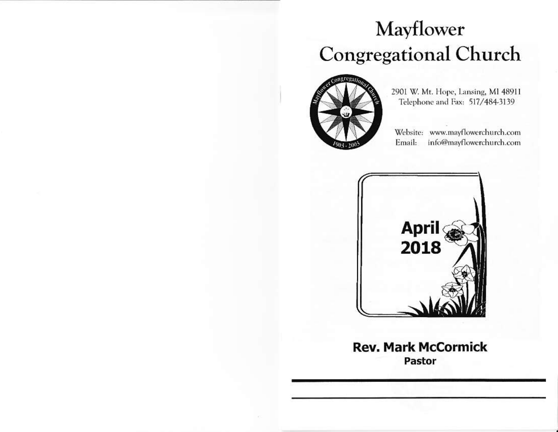# Mayflower **Congregational Church**



2901 W. Mt. Hope, Lansing, MI 48911 Telephone and Fax: 517/484-3139

Website: www.mayflowerchurch.com Email: info@mayflowerchurch.com



**Rev. Mark McCormick** Pastor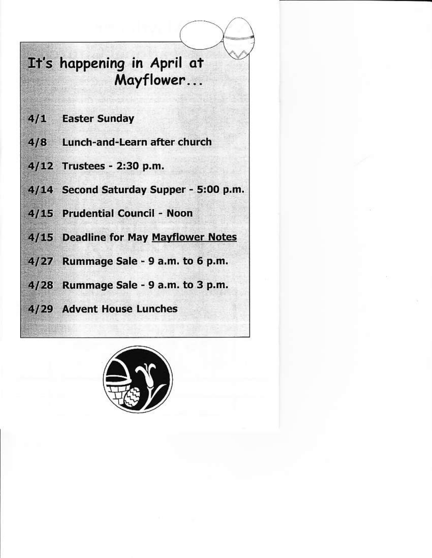# It's happening in April at Mayflower...

- 4/1 Easter Sunday
- 4/8 Lunch-and-Learn after church
- 4/12 Trustees 2:30 p.m.
- 4/14 Second Saturday Supper 5:00 p.m.
- 4/15 Prudential Council Noon
- 4/15 Deadline for May Mayflower Notes
- 4/27 Rummage Sale 9 a.m. to 6 p.m.
- 4/28 Rummage Sale 9 a.m. to 3 p.m.
- 4/29 Advent House Lunches

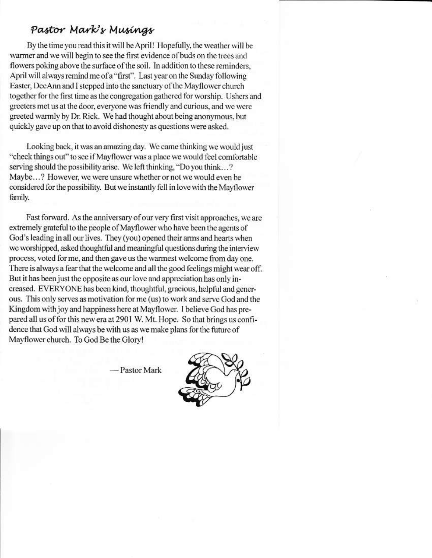### Pastor Mark's Musings

By the time you read this it will be April! Hopefully, the weather will be warmer and we will begin to see the first evidence of buds on the trees and flowers poking above the surface of the soil. In addition to these reminders, April will always remind me of a "first". Last year on the Sunday following Easter, DeeAnn and I stepped into the sanctuary of the Mayflower church together for the first time as the congregation gathered for worship. Ushers and greeters met us at the door, everyone was friendly and curious, and we were greeted warmly by Dr. Rick. We had thought about being anonymous, but quickly gave up on that to avoid dishonesty as questions were asked.

Looking back, it was an amazing day. We came thinking we would just "check things out" to see if Mayflower was a place we would feel comfortable serving should the possibility arise. We left thinking, "Do you think...? Mavbe...? However, we were unsure whether or not we would even be considered for the possibility. But we instantly fell in love with the Mayflower family.

Fast forward. As the anniversary of our very first visit approaches, we are extremely grateful to the people of Mayflower who have been the agents of God's leading in all our lives. They (you) opened their arms and hearts when we worshipped, asked thoughtful and meaningful questions during the interview process, voted for me, and then gave us the warmest welcome from day one. There is always a fear that the welcome and all the good feelings might wear off. But it has been just the opposite as our love and appreciation has only increased. EVERYONE has been kind, thoughtful, gracious, helpful and generous. This only serves as motivation for me (us) to work and serve God and the Kingdom with joy and happiness here at Mayflower. I believe God has prepared all us of for this new era at 2901 W. Mt. Hope. So that brings us confidence that God will always be with us as we make plans for the future of Mayflower church. To God Be the Glory!

- Pastor Mark

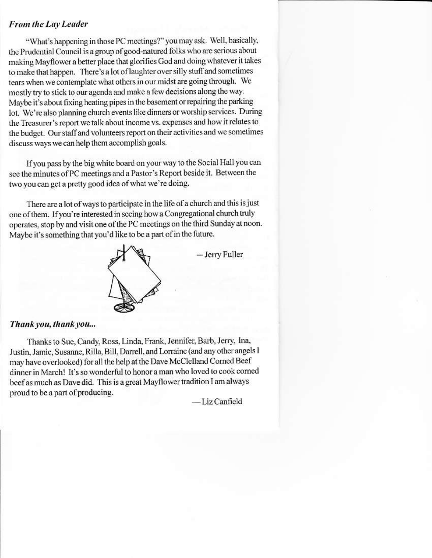#### **From the Lay Leader**

"What's happening in those PC meetings?" you may ask. Well, basically, the Prudential Council is a group of good-natured folks who are serious about making Mayflower a better place that glorifies God and doing whatever it takes to make that happen. There's a lot of laughter over silly stuff and sometimes tears when we contemplate what others in our midst are going through. We mostly try to stick to our agenda and make a few decisions along the way. Maybe it's about fixing heating pipes in the basement or repairing the parking lot. We're also planning church events like dinners or worship services. During the Treasurer's report we talk about income vs. expenses and how it relates to the budget. Our staff and volunteers report on their activities and we sometimes discuss ways we can help them accomplish goals.

If you pass by the big white board on your way to the Social Hall you can see the minutes of PC meetings and a Pastor's Report beside it. Between the two you can get a pretty good idea of what we're doing.

There are a lot of ways to participate in the life of a church and this is just one of them. If you're interested in seeing how a Congregational church truly operates, stop by and visit one of the PC meetings on the third Sunday at noon. Maybe it's something that you'd like to be a part of in the future.



- Jerry Fuller

#### Thank you, thank you...

Thanks to Sue, Candy, Ross, Linda, Frank, Jennifer, Barb, Jerry, Ina, Justin, Jamie, Susanne, Rilla, Bill, Darrell, and Lorraine (and any other angels I may have overlooked) for all the help at the Dave McClelland Corned Beef dinner in March! It's so wonderful to honor a man who loved to cook corned beef as much as Dave did. This is a great Mayflower tradition I am always proud to be a part of producing.

-Liz Canfield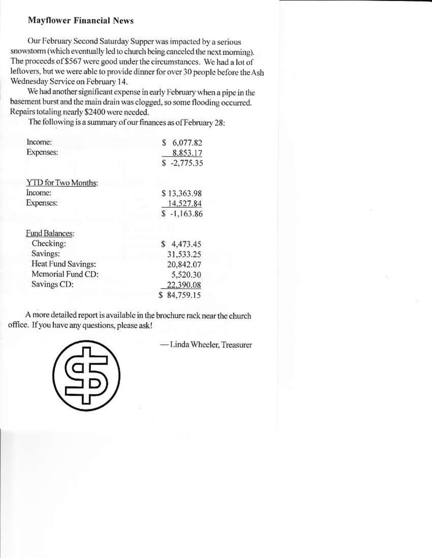#### **Mayflower Financial News**

Our February Second Saturday Supper was impacted by a serious snowstorm (which eventually led to church being canceled the next morning). The proceeds of \$567 were good under the circumstances. We had a lot of leftovers, but we were able to provide dinner for over 30 people before the Ash Wednesday Service on February 14.

We had another significant expense in early February when a pipe in the basement burst and the main drain was clogged, so some flooding occurred. Repairs totaling nearly \$2400 were needed.

The following is a summary of our finances as of February 28:

| Income:             | 6,077.82<br>s |
|---------------------|---------------|
| Expenses:           | 8.853.17      |
|                     | $$ -2,775.35$ |
| YTD for Two Months: |               |
| Income:             | \$13,363.98   |
| Expenses:           | 14,527.84     |
|                     | $$ -1,163.86$ |
| Fund Balances:      |               |
| Checking:           | \$4,473.45    |
| Savings:            | 31,533.25     |
| Heat Fund Savings:  | 20,842.07     |
| Memorial Fund CD:   | 5,520.30      |
| Savings CD:         | 22,390.08     |
|                     | 84,759.15     |

A more detailed report is available in the brochure rack near the church office. If you have any questions, please ask!



- Linda Wheeler, Treasurer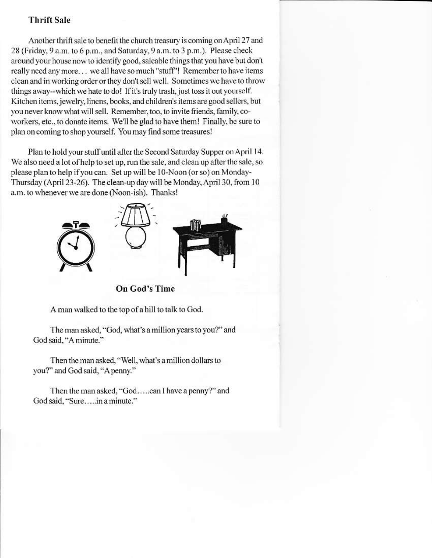#### **Thrift Sale**

Another thrift sale to benefit the church treasury is coming on April 27 and 28 (Friday, 9 a.m. to 6 p.m., and Saturday, 9 a.m. to 3 p.m.). Please check around your house now to identify good, saleable things that you have but don't really need any more... we all have so much "stuff"! Remember to have items clean and in working order or they don't sell well. Sometimes we have to throw things away--which we hate to do! If it's truly trash, just toss it out yourself. Kitchen items, jewelry, linens, books, and children's items are good sellers, but you never know what will sell. Remember, too, to invite friends, family, coworkers, etc., to donate items. We'll be glad to have them! Finally, be sure to plan on coming to shop yourself. You may find some treasures!

Plan to hold your stuff until after the Second Saturday Supper on April 14. We also need a lot of help to set up, run the sale, and clean up after the sale, so please plan to help if you can. Set up will be 10-Noon (or so) on Monday-Thursday (April 23-26). The clean-up day will be Monday, April 30, from 10 a.m. to whenever we are done (Noon-ish). Thanks!



**On God's Time** 

A man walked to the top of a hill to talk to God.

The man asked, "God, what's a million years to you?" and God said, "A minute."

Then the man asked, "Well, what's a million dollars to you?" and God said, "A penny."

Then the man asked, "God.....can I have a penny?" and God said, "Sure.....in a minute."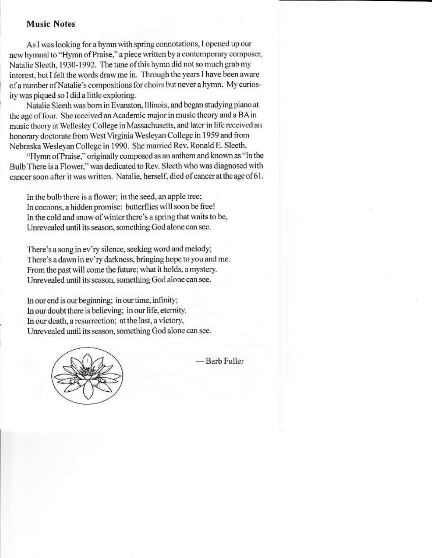#### **Music Notes**

As I was looking for a hymn with spring connotations, I opened up our new hymnal to "Hymn of Praise," a piece written by a contemporary composer, Natalie Sleeth, 1930-1992. The tune of this hymn did not so much grab my interest, but I felt the words draw me in. Through the years I have been aware of a number of Natalie's compositions for choirs but never a hymn. My curiosity was piqued so I did a little exploring.

Natalie Sleeth was born in Evanston, Illinois, and began studying piano at the age of four. She received an Academic major in music theory and a BA in music theory at Wellesley College in Massachusetts, and later in life received an honorary doctorate from West Virginia Wesleyan College in 1959 and from Nebraska Wesleyan College in 1990. She married Rev. Ronald E. Sleeth.

"Hymn of Praise," originally composed as an anthem and known as "In the Bulb There is a Flower," was dedicated to Rev. Sleeth who was diagnosed with cancer soon after it was written. Natalie, herself, died of cancer at the age of 61.

In the bulb there is a flower; in the seed, an apple tree; In cocoons, a hidden promise: butterflies will soon be free! In the cold and snow of winter there's a spring that waits to be, Unrevealed until its season, something God alone can see.

There's a song in ev'ry silence, seeking word and melody; There's a dawn in ev'ry darkness, bringing hope to you and me. From the past will come the future; what it holds, a mystery. Unrevealed until its season, something God alone can see.

In our end is our beginning; in our time, infinity; In our doubt there is believing; in our life, eternity. In our death, a resurrection; at the last, a victory, Unrevealed until its season, something God alone can see.



- Barb Fuller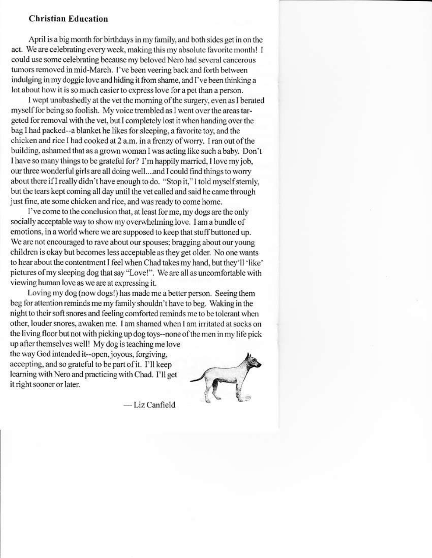#### **Christian Education**

April is a big month for birthdays in my family, and both sides get in on the act. We are celebrating every week, making this my absolute favorite month! I could use some celebrating because my beloved Nero had several cancerous tumors removed in mid-March. I've been veering back and forth between indulging in my doggie love and hiding it from shame, and I've been thinking a lot about how it is so much easier to express love for a pet than a person.

I wept unabashedly at the vet the morning of the surgery, even as I berated myself for being so foolish. My voice trembled as I went over the areas targeted for removal with the vet, but I completely lost it when handing over the bag I had packed--a blanket he likes for sleeping, a favorite toy, and the chicken and rice I had cooked at 2 a.m. in a frenzy of worry. I ran out of the building, ashamed that as a grown woman I was acting like such a baby. Don't I have so many things to be grateful for? I'm happily married, I love my job, our three wonderful girls are all doing well....and I could find things to worry about there if I really didn't have enough to do. "Stop it," I told myself sternly, but the tears kept coming all day until the vet called and said he came through just fine, ate some chicken and rice, and was ready to come home.

I've come to the conclusion that, at least for me, my dogs are the only socially acceptable way to show my overwhelming love. I am a bundle of emotions, in a world where we are supposed to keep that stuff buttoned up. We are not encouraged to rave about our spouses; bragging about our young children is okay but becomes less acceptable as they get older. No one wants to hear about the contentment I feel when Chad takes my hand, but they'll 'like' pictures of my sleeping dog that say "Love!". We are all as uncomfortable with viewing human love as we are at expressing it.

Loving my dog (now dogs!) has made me a better person. Seeing them beg for attention reminds me my family shouldn't have to beg. Waking in the night to their soft snores and feeling comforted reminds me to be tolerant when other, louder snores, awaken me. I am shamed when I am irritated at socks on the living floor but not with picking up dog toys--none of the men in my life pick up after themselves well! My dog is teaching me love the way God intended it--open, joyous, forgiving, accepting, and so grateful to be part of it. I'll keep learning with Nero and practicing with Chad. I'll get it right sooner or later.

-Liz Canfield

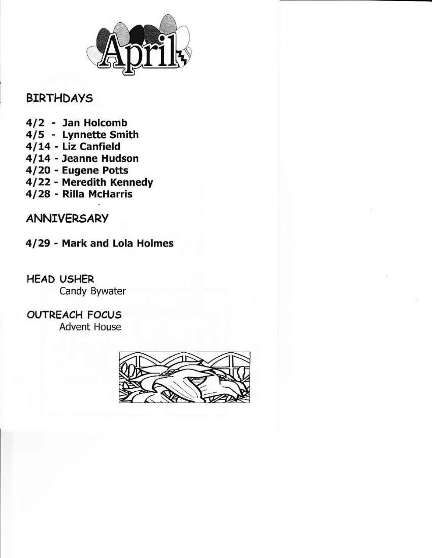

## **BIRTHDAYS**

- 4/2 Jan Holcomb
- 4/5 Lynnette Smith
- 4/14 Liz Canfield
- 4/14 Jeanne Hudson
- 4/20 Eugene Potts
- 4/22 Meredith Kennedy
- 4/28 Rilla McHarris

# **ANNIVERSARY**

4/29 - Mark and Lola Holmes

**HEAD USHER** Candy Bywater

**OUTREACH FOCUS Advent House**